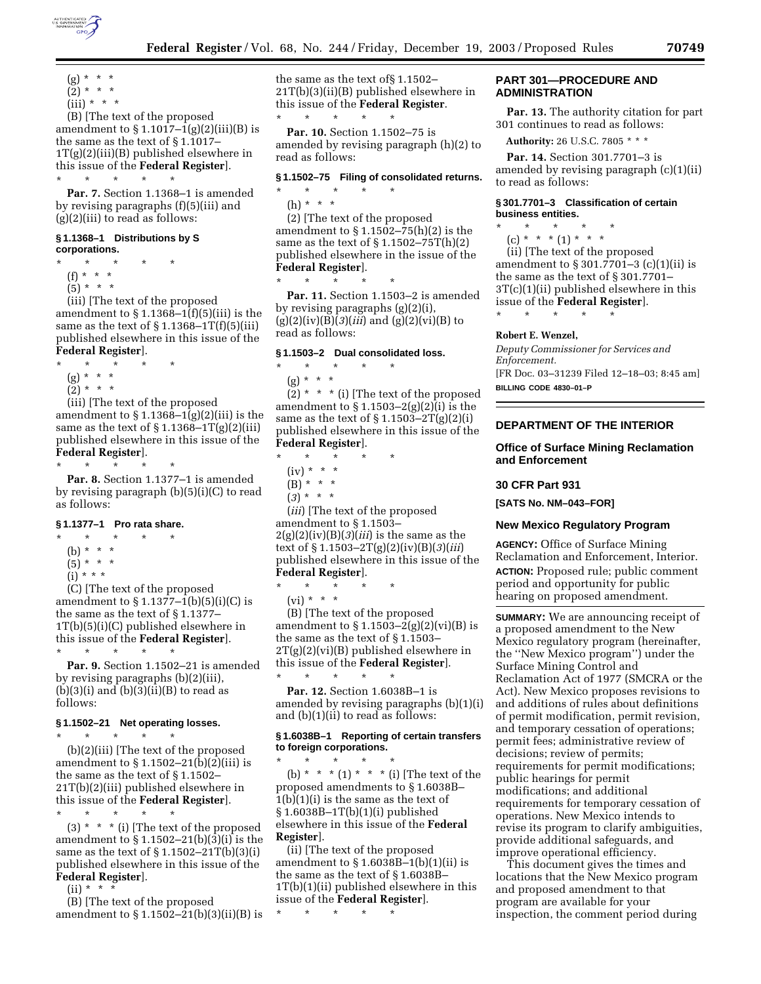

- $(g) * * * *$  $(2) * * * *$
- $(iii) * * * *$

(B) [The text of the proposed amendment to  $\S 1.1017 - 1(g)(2)(iii)(B)$  is the same as the text of § 1.1017–  $1T(g)(2)(iii)(B)$  published elsewhere in this issue of the **Federal Register**]. \* \* \* \* \*

**Par. 7.** Section 1.1368–1 is amended by revising paragraphs (f)(5)(iii) and (g)(2)(iii) to read as follows:

#### **§ 1.1368–1 Distributions by S corporations.**

- \* \* \* \* \*
- (f) \* \* \*
- $(5) * * * *$

(iii) [The text of the proposed amendment to  $\S 1.1368 - 1(f)(5)(iii)$  is the same as the text of  $\S 1.1368 - 1T(f)(5)(iii)$ published elsewhere in this issue of the **Federal Register**].

\* \* \* \* \*

- (g) \* \* \*
- $(2) * * * *$

(iii) [The text of the proposed amendment to  $\S 1.1368 - 1(g)(2)(iii)$  is the same as the text of  $\S 1.1368 - 1T(g)(2)(iii)$ published elsewhere in this issue of the **Federal Register**].

\* \* \* \* \*

**Par. 8.** Section 1.1377–1 is amended by revising paragraph (b)(5)(i)(C) to read as follows:

# **§ 1.1377–1 Pro rata share.**

- $\star$   $\star$   $\star$
- (b) \* \* \*
- $(5)^{*}$  \* \*
- (i) \* \* \*

(C) [The text of the proposed amendment to  $\S 1.1377 - 1(b)(5)(i)(C)$  is the same as the text of § 1.1377– 1T(b)(5)(i)(C) published elsewhere in this issue of the **Federal Register**].

\* \* \* \* \* **Par. 9.** Section 1.1502–21 is amended

by revising paragraphs (b)(2)(iii),  $(b)(3)(i)$  and  $(b)(3)(ii)(B)$  to read as follows:

# **§ 1.1502–21 Net operating losses.**

\* \* \* \* \*

(b)(2)(iii) [The text of the proposed amendment to § 1.1502–21(b)(2)(iii) is the same as the text of § 1.1502– 21T(b)(2)(iii) published elsewhere in this issue of the **Federal Register**].

 $\star$   $\star$   $\star$ 

 $(3)$  \* \* \* (i) [The text of the proposed amendment to § 1.1502–21(b)(3)(i) is the same as the text of  $\S 1.1502 - 21T(b)(3)(i)$ published elsewhere in this issue of the **Federal Register**].

 $(ii) * * * *$ 

(B) [The text of the proposed amendment to § 1.1502–21(b)(3)(ii)(B) is the same as the text of§ 1.1502– 21T(b)(3)(ii)(B) published elsewhere in this issue of the **Federal Register**.  $\star$   $\qquad$   $\star$   $\qquad$   $\star$ 

**Par. 10.** Section 1.1502–75 is amended by revising paragraph (h)(2) to read as follows:

### **§ 1.1502–75 Filing of consolidated returns.**

\* \* \* \* \* (h) \* \* \*

(2) [The text of the proposed amendment to  $\S 1.1502 - 75(h)(2)$  is the same as the text of  $\S 1.1502 - 75T(h)(2)$ published elsewhere in the issue of the **Federal Register**].

**Par. 11.** Section 1.1503–2 is amended by revising paragraphs (g)(2)(i), (g)(2)(iv)(B)(*3*)(*iii*) and (g)(2)(vi)(B) to read as follows:

### **§ 1.1503–2 Dual consolidated loss.**

\* \* \* \* \*

\* \* \* \* \*

(g) \* \* \*  $\star$ 

 $(2)$  \* \* \* (i) [The text of the proposed amendment to  $\S 1.1503-2(g)(2)(i)$  is the same as the text of  $\S 1.1503 - 2T(g)(2)(i)$ published elsewhere in this issue of the **Federal Register**].

- \* \* \* \* \*  $(iv) * * * *$ (B) \* \* \*
- (*3*) \* \* \*

(*iii*) [The text of the proposed amendment to § 1.1503–  $2(g)(2)(iv)(B)(3)(iii)$  is the same as the text of § 1.1503–2T(g)(2)(iv)(B)(*3*)(*iii*) published elsewhere in this issue of the **Federal Register**].

\* \* \* \* \*

 $(vi) * * * *$ 

(B) [The text of the proposed amendment to  $\S 1.1503 - 2(g)(2)(vi)(B)$  is the same as the text of § 1.1503– 2T(g)(2)(vi)(B) published elsewhere in this issue of the **Federal Register**]. \* \* \* \* \*

**Par. 12.** Section 1.6038B–1 is amended by revising paragraphs (b)(1)(i) and  $(b)(1)(ii)$  to read as follows:

### **§ 1.6038B–1 Reporting of certain transfers to foreign corporations.**

 $\star$   $\star$   $\star$ (b) \* \* \* (1) \* \* \* (i) [The text of the proposed amendments to § 1.6038B–  $1(b)(1)(i)$  is the same as the text of § 1.6038B–1T(b)(1)(i) published elsewhere in this issue of the **Federal Register**].

(ii) [The text of the proposed amendment to  $\S 1.6038B-1(b)(1)(ii)$  is the same as the text of § 1.6038B– 1T(b)(1)(ii) published elsewhere in this issue of the **Federal Register**].

\* \* \* \* \*

### **PART 301—PROCEDURE AND ADMINISTRATION**

**Par. 13.** The authority citation for part 301 continues to read as follows:

**Authority:** 26 U.S.C. 7805 \* \* \*

**Par. 14.** Section 301.7701–3 is amended by revising paragraph (c)(1)(ii) to read as follows:

### **§ 301.7701–3 Classification of certain business entities.**

- \* \* \* \* \*
	- $(c) * * * (1) * * * *$

(ii) [The text of the proposed amendment to § 301.7701–3 (c)(1)(ii) is the same as the text of § 301.7701– 3T(c)(1)(ii) published elsewhere in this issue of the **Federal Register**].

\* \* \* \* \*

## **Robert E. Wenzel,**

*Deputy Commissioner for Services and Enforcement.* [FR Doc. 03–31239 Filed 12–18–03; 8:45 am] **BILLING CODE 4830–01–P**

## **DEPARTMENT OF THE INTERIOR**

**Office of Surface Mining Reclamation and Enforcement** 

### **30 CFR Part 931**

**[SATS No. NM–043–FOR]** 

### **New Mexico Regulatory Program**

**AGENCY:** Office of Surface Mining Reclamation and Enforcement, Interior. **ACTION:** Proposed rule; public comment period and opportunity for public hearing on proposed amendment.

**SUMMARY:** We are announcing receipt of a proposed amendment to the New Mexico regulatory program (hereinafter, the ''New Mexico program'') under the Surface Mining Control and Reclamation Act of 1977 (SMCRA or the Act). New Mexico proposes revisions to and additions of rules about definitions of permit modification, permit revision, and temporary cessation of operations; permit fees; administrative review of decisions; review of permits; requirements for permit modifications; public hearings for permit modifications; and additional requirements for temporary cessation of operations. New Mexico intends to revise its program to clarify ambiguities, provide additional safeguards, and improve operational efficiency.

This document gives the times and locations that the New Mexico program and proposed amendment to that program are available for your inspection, the comment period during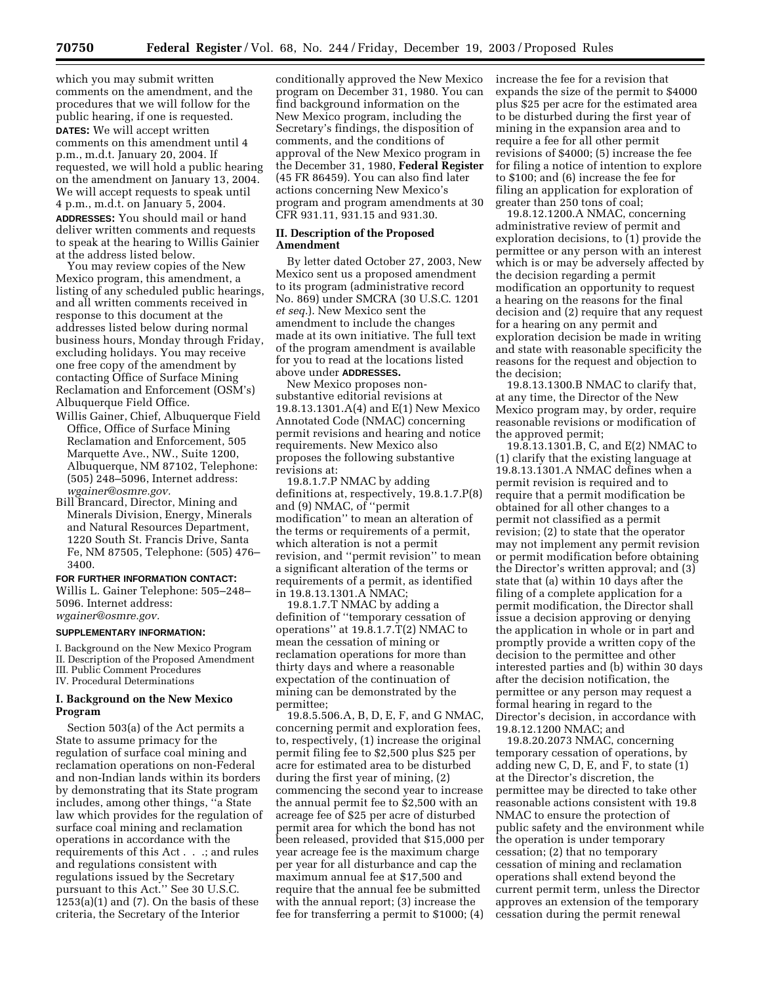which you may submit written comments on the amendment, and the procedures that we will follow for the public hearing, if one is requested. **DATES:** We will accept written comments on this amendment until 4 p.m., m.d.t. January 20, 2004. If requested, we will hold a public hearing on the amendment on January 13, 2004. We will accept requests to speak until 4 p.m., m.d.t. on January 5, 2004. **ADDRESSES:** You should mail or hand deliver written comments and requests to speak at the hearing to Willis Gainier at the address listed below.

You may review copies of the New Mexico program, this amendment, a listing of any scheduled public hearings, and all written comments received in response to this document at the addresses listed below during normal business hours, Monday through Friday, excluding holidays. You may receive one free copy of the amendment by contacting Office of Surface Mining Reclamation and Enforcement (OSM's) Albuquerque Field Office.

- Willis Gainer, Chief, Albuquerque Field Office, Office of Surface Mining Reclamation and Enforcement, 505 Marquette Ave., NW., Suite 1200, Albuquerque, NM 87102, Telephone: (505) 248–5096, Internet address: *wgainer@osmre.gov.*
- Bill Brancard, Director, Mining and Minerals Division, Energy, Minerals and Natural Resources Department, 1220 South St. Francis Drive, Santa Fe, NM 87505, Telephone: (505) 476– 3400.

### **FOR FURTHER INFORMATION CONTACT:**

Willis L. Gainer Telephone: 505–248– 5096. Internet address: *wgainer@osmre.gov.*

#### **SUPPLEMENTARY INFORMATION:**

I. Background on the New Mexico Program II. Description of the Proposed Amendment III. Public Comment Procedures IV. Procedural Determinations

### **I. Background on the New Mexico Program**

Section 503(a) of the Act permits a State to assume primacy for the regulation of surface coal mining and reclamation operations on non-Federal and non-Indian lands within its borders by demonstrating that its State program includes, among other things, ''a State law which provides for the regulation of surface coal mining and reclamation operations in accordance with the requirements of this Act . . .; and rules and regulations consistent with regulations issued by the Secretary pursuant to this Act.'' See 30 U.S.C.  $1253(a)(1)$  and  $(7)$ . On the basis of these criteria, the Secretary of the Interior

conditionally approved the New Mexico program on December 31, 1980. You can find background information on the New Mexico program, including the Secretary's findings, the disposition of comments, and the conditions of approval of the New Mexico program in the December 31, 1980, **Federal Register** (45 FR 86459). You can also find later actions concerning New Mexico's program and program amendments at 30 CFR 931.11, 931.15 and 931.30.

### **II. Description of the Proposed Amendment**

By letter dated October 27, 2003, New Mexico sent us a proposed amendment to its program (administrative record No. 869) under SMCRA (30 U.S.C. 1201 *et seq.*). New Mexico sent the amendment to include the changes made at its own initiative. The full text of the program amendment is available for you to read at the locations listed above under **ADDRESSES.**

New Mexico proposes nonsubstantive editorial revisions at 19.8.13.1301.A(4) and E(1) New Mexico Annotated Code (NMAC) concerning permit revisions and hearing and notice requirements. New Mexico also proposes the following substantive revisions at:

19.8.1.7.P NMAC by adding definitions at, respectively, 19.8.1.7.P(8) and (9) NMAC, of ''permit modification'' to mean an alteration of the terms or requirements of a permit, which alteration is not a permit revision, and ''permit revision'' to mean a significant alteration of the terms or requirements of a permit, as identified in 19.8.13.1301.A NMAC;

19.8.1.7.T NMAC by adding a definition of ''temporary cessation of operations'' at 19.8.1.7.T(2) NMAC to mean the cessation of mining or reclamation operations for more than thirty days and where a reasonable expectation of the continuation of mining can be demonstrated by the permittee;

19.8.5.506.A, B, D, E, F, and G NMAC, concerning permit and exploration fees, to, respectively, (1) increase the original permit filing fee to \$2,500 plus \$25 per acre for estimated area to be disturbed during the first year of mining, (2) commencing the second year to increase the annual permit fee to \$2,500 with an acreage fee of \$25 per acre of disturbed permit area for which the bond has not been released, provided that \$15,000 per year acreage fee is the maximum charge per year for all disturbance and cap the maximum annual fee at \$17,500 and require that the annual fee be submitted with the annual report; (3) increase the fee for transferring a permit to \$1000; (4)

increase the fee for a revision that expands the size of the permit to \$4000 plus \$25 per acre for the estimated area to be disturbed during the first year of mining in the expansion area and to require a fee for all other permit revisions of \$4000; (5) increase the fee for filing a notice of intention to explore to \$100; and (6) increase the fee for filing an application for exploration of greater than 250 tons of coal;

19.8.12.1200.A NMAC, concerning administrative review of permit and exploration decisions, to (1) provide the permittee or any person with an interest which is or may be adversely affected by the decision regarding a permit modification an opportunity to request a hearing on the reasons for the final decision and (2) require that any request for a hearing on any permit and exploration decision be made in writing and state with reasonable specificity the reasons for the request and objection to the decision;

19.8.13.1300.B NMAC to clarify that, at any time, the Director of the New Mexico program may, by order, require reasonable revisions or modification of the approved permit;

19.8.13.1301.B, C, and E(2) NMAC to (1) clarify that the existing language at 19.8.13.1301.A NMAC defines when a permit revision is required and to require that a permit modification be obtained for all other changes to a permit not classified as a permit revision; (2) to state that the operator may not implement any permit revision or permit modification before obtaining the Director's written approval; and (3) state that (a) within 10 days after the filing of a complete application for a permit modification, the Director shall issue a decision approving or denying the application in whole or in part and promptly provide a written copy of the decision to the permittee and other interested parties and (b) within 30 days after the decision notification, the permittee or any person may request a formal hearing in regard to the Director's decision, in accordance with 19.8.12.1200 NMAC; and

19.8.20.2073 NMAC, concerning temporary cessation of operations, by adding new C, D, E, and F, to state (1) at the Director's discretion, the permittee may be directed to take other reasonable actions consistent with 19.8 NMAC to ensure the protection of public safety and the environment while the operation is under temporary cessation; (2) that no temporary cessation of mining and reclamation operations shall extend beyond the current permit term, unless the Director approves an extension of the temporary cessation during the permit renewal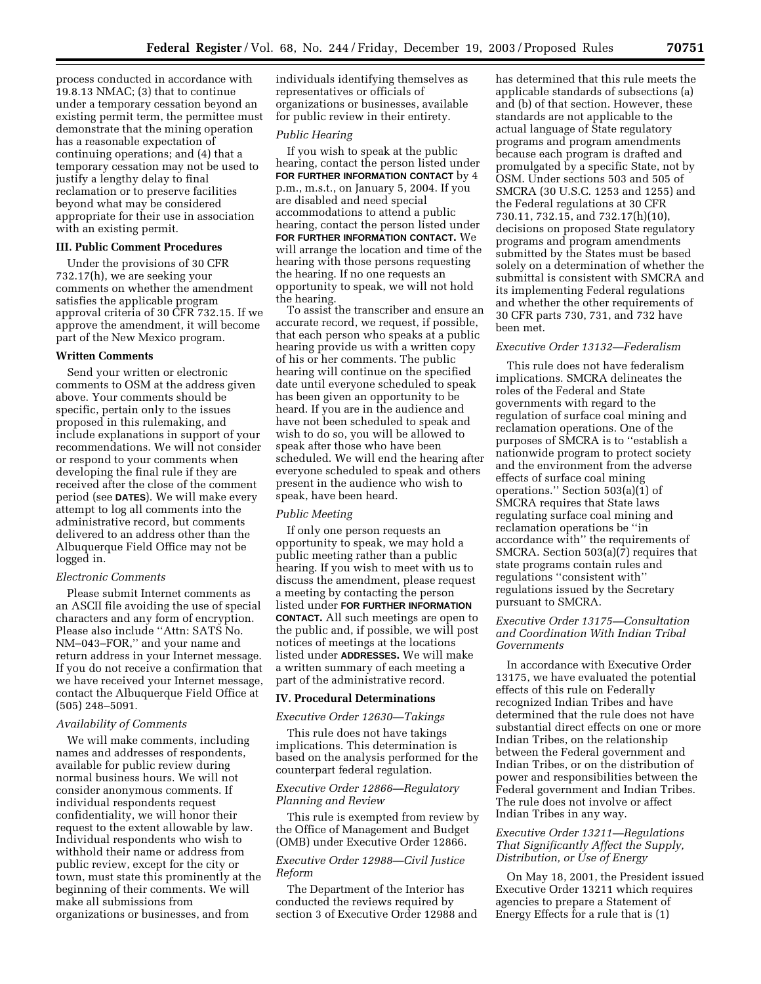process conducted in accordance with 19.8.13 NMAC; (3) that to continue under a temporary cessation beyond an existing permit term, the permittee must demonstrate that the mining operation has a reasonable expectation of continuing operations; and (4) that a temporary cessation may not be used to justify a lengthy delay to final reclamation or to preserve facilities beyond what may be considered appropriate for their use in association with an existing permit.

### **III. Public Comment Procedures**

Under the provisions of 30 CFR 732.17(h), we are seeking your comments on whether the amendment satisfies the applicable program approval criteria of 30 CFR 732.15. If we approve the amendment, it will become part of the New Mexico program.

#### **Written Comments**

Send your written or electronic comments to OSM at the address given above. Your comments should be specific, pertain only to the issues proposed in this rulemaking, and include explanations in support of your recommendations. We will not consider or respond to your comments when developing the final rule if they are received after the close of the comment period (see **DATES**). We will make every attempt to log all comments into the administrative record, but comments delivered to an address other than the Albuquerque Field Office may not be logged in.

### *Electronic Comments*

Please submit Internet comments as an ASCII file avoiding the use of special characters and any form of encryption. Please also include ''Attn: SATS No. NM–043–FOR,'' and your name and return address in your Internet message. If you do not receive a confirmation that we have received your Internet message, contact the Albuquerque Field Office at (505) 248–5091.

### *Availability of Comments*

We will make comments, including names and addresses of respondents, available for public review during normal business hours. We will not consider anonymous comments. If individual respondents request confidentiality, we will honor their request to the extent allowable by law. Individual respondents who wish to withhold their name or address from public review, except for the city or town, must state this prominently at the beginning of their comments. We will make all submissions from organizations or businesses, and from

individuals identifying themselves as representatives or officials of organizations or businesses, available for public review in their entirety.

#### *Public Hearing*

If you wish to speak at the public hearing, contact the person listed under **FOR FURTHER INFORMATION CONTACT** by 4 p.m., m.s.t., on January 5, 2004. If you are disabled and need special accommodations to attend a public hearing, contact the person listed under **FOR FURTHER INFORMATION CONTACT.** We will arrange the location and time of the hearing with those persons requesting the hearing. If no one requests an opportunity to speak, we will not hold the hearing.

To assist the transcriber and ensure an accurate record, we request, if possible, that each person who speaks at a public hearing provide us with a written copy of his or her comments. The public hearing will continue on the specified date until everyone scheduled to speak has been given an opportunity to be heard. If you are in the audience and have not been scheduled to speak and wish to do so, you will be allowed to speak after those who have been scheduled. We will end the hearing after everyone scheduled to speak and others present in the audience who wish to speak, have been heard.

### *Public Meeting*

If only one person requests an opportunity to speak, we may hold a public meeting rather than a public hearing. If you wish to meet with us to discuss the amendment, please request a meeting by contacting the person listed under **FOR FURTHER INFORMATION CONTACT.** All such meetings are open to the public and, if possible, we will post notices of meetings at the locations listed under **ADDRESSES.** We will make a written summary of each meeting a part of the administrative record.

### **IV. Procedural Determinations**

#### *Executive Order 12630—Takings*

This rule does not have takings implications. This determination is based on the analysis performed for the counterpart federal regulation.

### *Executive Order 12866—Regulatory Planning and Review*

This rule is exempted from review by the Office of Management and Budget (OMB) under Executive Order 12866.

### *Executive Order 12988—Civil Justice Reform*

The Department of the Interior has conducted the reviews required by section 3 of Executive Order 12988 and has determined that this rule meets the applicable standards of subsections (a) and (b) of that section. However, these standards are not applicable to the actual language of State regulatory programs and program amendments because each program is drafted and promulgated by a specific State, not by OSM. Under sections 503 and 505 of SMCRA (30 U.S.C. 1253 and 1255) and the Federal regulations at 30 CFR 730.11, 732.15, and 732.17(h)(10), decisions on proposed State regulatory programs and program amendments submitted by the States must be based solely on a determination of whether the submittal is consistent with SMCRA and its implementing Federal regulations and whether the other requirements of 30 CFR parts 730, 731, and 732 have been met.

### *Executive Order 13132—Federalism*

This rule does not have federalism implications. SMCRA delineates the roles of the Federal and State governments with regard to the regulation of surface coal mining and reclamation operations. One of the purposes of SMCRA is to ''establish a nationwide program to protect society and the environment from the adverse effects of surface coal mining operations." Section  $503(a)(1)$  of SMCRA requires that State laws regulating surface coal mining and reclamation operations be ''in accordance with'' the requirements of SMCRA. Section 503(a)(7) requires that state programs contain rules and regulations ''consistent with'' regulations issued by the Secretary pursuant to SMCRA.

# *Executive Order 13175—Consultation and Coordination With Indian Tribal Governments*

In accordance with Executive Order 13175, we have evaluated the potential effects of this rule on Federally recognized Indian Tribes and have determined that the rule does not have substantial direct effects on one or more Indian Tribes, on the relationship between the Federal government and Indian Tribes, or on the distribution of power and responsibilities between the Federal government and Indian Tribes. The rule does not involve or affect Indian Tribes in any way.

## *Executive Order 13211—Regulations That Significantly Affect the Supply, Distribution, or Use of Energy*

On May 18, 2001, the President issued Executive Order 13211 which requires agencies to prepare a Statement of Energy Effects for a rule that is (1)